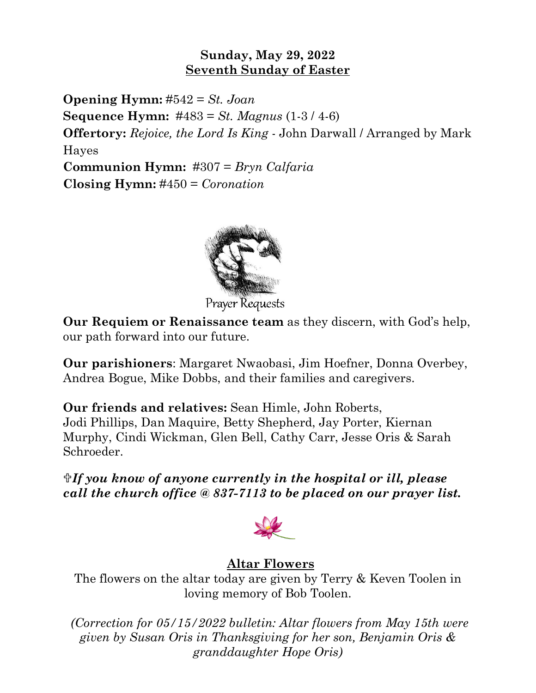## **Sunday, May 29, 2022 Seventh Sunday of Easter**

**Opening Hymn:** #542 = *St. Joan* **Sequence Hymn:** #483 = *St. Magnus* (1-3 / 4-6) **Offertory:** *Rejoice, the Lord Is King* - John Darwall / Arranged by Mark Hayes **Communion Hymn:** #307 = *Bryn Calfaria* **Closing Hymn:** #450 = *Coronation*



**Prayer Requests** 

**Our Requiem or Renaissance team** as they discern, with God's help, our path forward into our future.

**Our parishioners**: Margaret Nwaobasi, Jim Hoefner, Donna Overbey, Andrea Bogue, Mike Dobbs, and their families and caregivers.

**Our friends and relatives:** Sean Himle, John Roberts, Jodi Phillips, Dan Maquire, Betty Shepherd, Jay Porter, Kiernan Murphy, Cindi Wickman, Glen Bell, Cathy Carr, Jesse Oris & Sarah Schroeder.

*If you know of anyone currently in the hospital or ill, please call the church office @ 837-7113 to be placed on our prayer list.*



## **Altar Flowers**

The flowers on the altar today are given by Terry & Keven Toolen in loving memory of Bob Toolen.

*(Correction for 05/15/2022 bulletin: Altar flowers from May 15th were given by Susan Oris in Thanksgiving for her son, Benjamin Oris & granddaughter Hope Oris)*